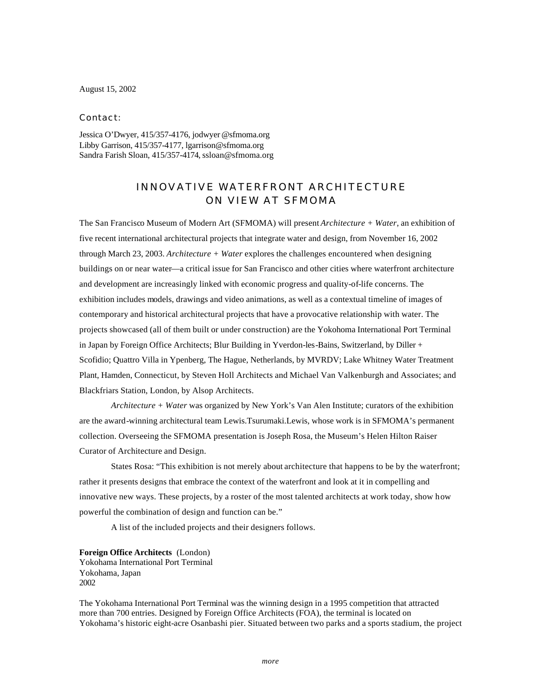August 15, 2002

Contact:

Jessica O'Dwyer, 415/357-4176, jodwyer @sfmoma.org Libby Garrison, 415/357-4177, lgarrison@sfmoma.org Sandra Farish Sloan, 415/357-4174, ssloan@sfmoma.org

## INNOVATIVE WATERFRONT ARCHITECTURE ON VIEW AT SFMOMA

The San Francisco Museum of Modern Art (SFMOMA) will present *Architecture + Water*, an exhibition of five recent international architectural projects that integrate water and design, from November 16, 2002 through March 23, 2003. *Architecture + Water* explores the challenges encountered when designing buildings on or near water—a critical issue for San Francisco and other cities where waterfront architecture and development are increasingly linked with economic progress and quality-of-life concerns. The exhibition includes models, drawings and video animations, as well as a contextual timeline of images of contemporary and historical architectural projects that have a provocative relationship with water. The projects showcased (all of them built or under construction) are the Yokohoma International Port Terminal in Japan by Foreign Office Architects; Blur Building in Yverdon-les-Bains, Switzerland, by Diller + Scofidio; Quattro Villa in Ypenberg, The Hague, Netherlands, by MVRDV; Lake Whitney Water Treatment Plant, Hamden, Connecticut, by Steven Holl Architects and Michael Van Valkenburgh and Associates; and Blackfriars Station, London, by Alsop Architects.

*Architecture + Water* was organized by New York's Van Alen Institute; curators of the exhibition are the award-winning architectural team Lewis.Tsurumaki.Lewis, whose work is in SFMOMA's permanent collection. Overseeing the SFMOMA presentation is Joseph Rosa, the Museum's Helen Hilton Raiser Curator of Architecture and Design.

States Rosa: "This exhibition is not merely about architecture that happens to be by the waterfront; rather it presents designs that embrace the context of the waterfront and look at it in compelling and innovative new ways. These projects, by a roster of the most talented architects at work today, show how powerful the combination of design and function can be."

A list of the included projects and their designers follows.

**Foreign Office Architects** (London) Yokohama International Port Terminal Yokohama, Japan 2002

The Yokohama International Port Terminal was the winning design in a 1995 competition that attracted more than 700 entries. Designed by Foreign Office Architects (FOA), the terminal is located on Yokohama's historic eight-acre Osanbashi pier. Situated between two parks and a sports stadium, the project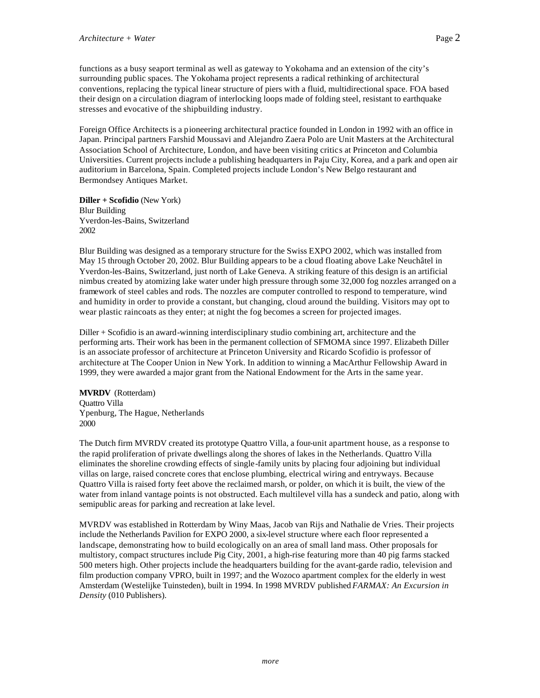functions as a busy seaport terminal as well as gateway to Yokohama and an extension of the city's surrounding public spaces. The Yokohama project represents a radical rethinking of architectural conventions, replacing the typical linear structure of piers with a fluid, multidirectional space. FOA based their design on a circulation diagram of interlocking loops made of folding steel, resistant to earthquake stresses and evocative of the shipbuilding industry.

Foreign Office Architects is a pioneering architectural practice founded in London in 1992 with an office in Japan. Principal partners Farshid Moussavi and Alejandro Zaera Polo are Unit Masters at the Architectural Association School of Architecture, London, and have been visiting critics at Princeton and Columbia Universities. Current projects include a publishing headquarters in Paju City, Korea, and a park and open air auditorium in Barcelona, Spain. Completed projects include London's New Belgo restaurant and Bermondsey Antiques Market.

**Diller + Scofidio** (New York) Blur Building Yverdon-les-Bains, Switzerland 2002

Blur Building was designed as a temporary structure for the Swiss EXPO 2002, which was installed from May 15 through October 20, 2002. Blur Building appears to be a cloud floating above Lake Neuchâtel in Yverdon-les-Bains, Switzerland, just north of Lake Geneva. A striking feature of this design is an artificial nimbus created by atomizing lake water under high pressure through some 32,000 fog nozzles arranged on a framework of steel cables and rods. The nozzles are computer controlled to respond to temperature, wind and humidity in order to provide a constant, but changing, cloud around the building. Visitors may opt to wear plastic raincoats as they enter; at night the fog becomes a screen for projected images.

Diller + Scofidio is an award-winning interdisciplinary studio combining art, architecture and the performing arts. Their work has been in the permanent collection of SFMOMA since 1997. Elizabeth Diller is an associate professor of architecture at Princeton University and Ricardo Scofidio is professor of architecture at The Cooper Union in New York. In addition to winning a MacArthur Fellowship Award in 1999, they were awarded a major grant from the National Endowment for the Arts in the same year.

**MVRDV** (Rotterdam) Quattro Villa Ypenburg, The Hague, Netherlands 2000

The Dutch firm MVRDV created its prototype Quattro Villa, a four-unit apartment house, as a response to the rapid proliferation of private dwellings along the shores of lakes in the Netherlands. Quattro Villa eliminates the shoreline crowding effects of single-family units by placing four adjoining but individual villas on large, raised concrete cores that enclose plumbing, electrical wiring and entryways. Because Quattro Villa is raised forty feet above the reclaimed marsh, or polder, on which it is built, the view of the water from inland vantage points is not obstructed. Each multilevel villa has a sundeck and patio, along with semipublic areas for parking and recreation at lake level.

MVRDV was established in Rotterdam by Winy Maas, Jacob van Rijs and Nathalie de Vries. Their projects include the Netherlands Pavilion for EXPO 2000, a six-level structure where each floor represented a landscape, demonstrating how to build ecologically on an area of small land mass. Other proposals for multistory, compact structures include Pig City, 2001, a high-rise featuring more than 40 pig farms stacked 500 meters high. Other projects include the headquarters building for the avant-garde radio, television and film production company VPRO, built in 1997; and the Wozoco apartment complex for the elderly in west Amsterdam (Westelijke Tuinsteden), built in 1994. In 1998 MVRDV published *FARMAX: An Excursion in Density* (010 Publishers).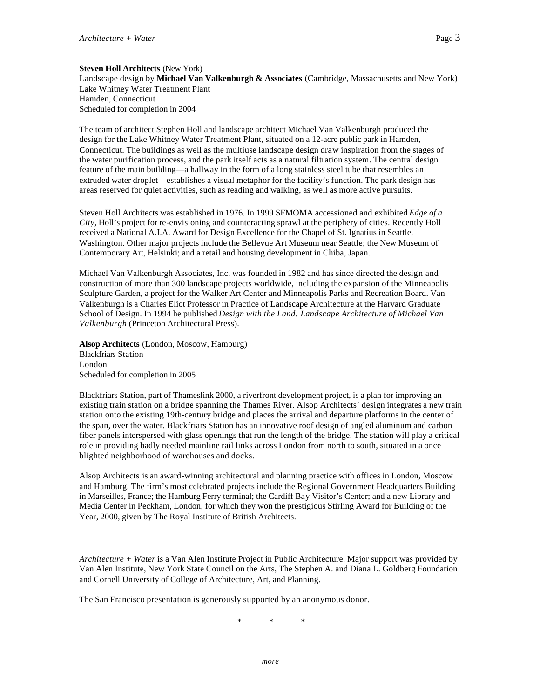**Steven Holl Architects** (New York) Landscape design by **Michael Van Valkenburgh & Associates** (Cambridge, Massachusetts and New York) Lake Whitney Water Treatment Plant Hamden, Connecticut Scheduled for completion in 2004

The team of architect Stephen Holl and landscape architect Michael Van Valkenburgh produced the design for the Lake Whitney Water Treatment Plant, situated on a 12-acre public park in Hamden, Connecticut. The buildings as well as the multiuse landscape design draw inspiration from the stages of the water purification process, and the park itself acts as a natural filtration system. The central design feature of the main building—a hallway in the form of a long stainless steel tube that resembles an extruded water droplet—establishes a visual metaphor for the facility's function. The park design has areas reserved for quiet activities, such as reading and walking, as well as more active pursuits.

Steven Holl Architects was established in 1976. In 1999 SFMOMA accessioned and exhibited *Edge of a City*, Holl's project for re-envisioning and counteracting sprawl at the periphery of cities. Recently Holl received a National A.I.A. Award for Design Excellence for the Chapel of St. Ignatius in Seattle, Washington. Other major projects include the Bellevue Art Museum near Seattle; the New Museum of Contemporary Art, Helsinki; and a retail and housing development in Chiba, Japan.

Michael Van Valkenburgh Associates, Inc. was founded in 1982 and has since directed the design and construction of more than 300 landscape projects worldwide, including the expansion of the Minneapolis Sculpture Garden, a project for the Walker Art Center and Minneapolis Parks and Recreation Board. Van Valkenburgh is a Charles Eliot Professor in Practice of Landscape Architecture at the Harvard Graduate School of Design. In 1994 he published *Design with the Land: Landscape Architecture of Michael Van Valkenburgh* (Princeton Architectural Press).

**Alsop Architects** (London, Moscow, Hamburg) Blackfriars Station London Scheduled for completion in 2005

Blackfriars Station, part of Thameslink 2000, a riverfront development project, is a plan for improving an existing train station on a bridge spanning the Thames River. Alsop Architects' design integrates a new train station onto the existing 19th-century bridge and places the arrival and departure platforms in the center of the span, over the water. Blackfriars Station has an innovative roof design of angled aluminum and carbon fiber panels interspersed with glass openings that run the length of the bridge. The station will play a critical role in providing badly needed mainline rail links across London from north to south, situated in a once blighted neighborhood of warehouses and docks.

Alsop Architects is an award-winning architectural and planning practice with offices in London, Moscow and Hamburg. The firm's most celebrated projects include the Regional Government Headquarters Building in Marseilles, France; the Hamburg Ferry terminal; the Cardiff Bay Visitor's Center; and a new Library and Media Center in Peckham, London, for which they won the prestigious Stirling Award for Building of the Year, 2000, given by The Royal Institute of British Architects.

*Architecture + Water* is a Van Alen Institute Project in Public Architecture. Major support was provided by Van Alen Institute, New York State Council on the Arts, The Stephen A. and Diana L. Goldberg Foundation and Cornell University of College of Architecture, Art, and Planning.

The San Francisco presentation is generously supported by an anonymous donor.

\* \* \*